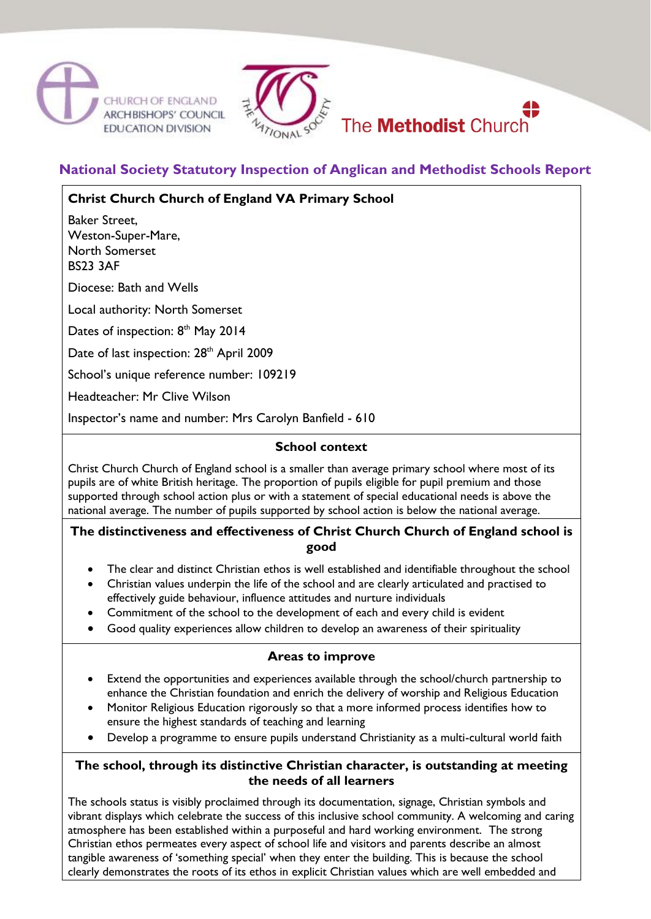



# **National Society Statutory Inspection of Anglican and Methodist Schools Report**

## **Christ Church Church of England VA Primary School**

Baker Street, Weston-Super-Mare, North Somerset BS23 3AF

Diocese: Bath and Wells

Local authority: North Somerset

Dates of inspection: 8<sup>th</sup> May 2014

Date of last inspection: 28<sup>th</sup> April 2009

School's unique reference number: 109219

Headteacher: Mr Clive Wilson

Inspector's name and number: Mrs Carolyn Banfield - 610

### **School context**

Christ Church Church of England school is a smaller than average primary school where most of its pupils are of white British heritage. The proportion of pupils eligible for pupil premium and those supported through school action plus or with a statement of special educational needs is above the national average. The number of pupils supported by school action is below the national average.

#### **The distinctiveness and effectiveness of Christ Church Church of England school is good**

- The clear and distinct Christian ethos is well established and identifiable throughout the school
- Christian values underpin the life of the school and are clearly articulated and practised to effectively guide behaviour, influence attitudes and nurture individuals
- Commitment of the school to the development of each and every child is evident
- Good quality experiences allow children to develop an awareness of their spirituality

## **Areas to improve**

- Extend the opportunities and experiences available through the school/church partnership to enhance the Christian foundation and enrich the delivery of worship and Religious Education
- Monitor Religious Education rigorously so that a more informed process identifies how to ensure the highest standards of teaching and learning
- Develop a programme to ensure pupils understand Christianity as a multi-cultural world faith

### **The school, through its distinctive Christian character, is outstanding at meeting the needs of all learners**

The schools status is visibly proclaimed through its documentation, signage, Christian symbols and vibrant displays which celebrate the success of this inclusive school community. A welcoming and caring atmosphere has been established within a purposeful and hard working environment. The strong Christian ethos permeates every aspect of school life and visitors and parents describe an almost tangible awareness of 'something special' when they enter the building. This is because the school clearly demonstrates the roots of its ethos in explicit Christian values which are well embedded and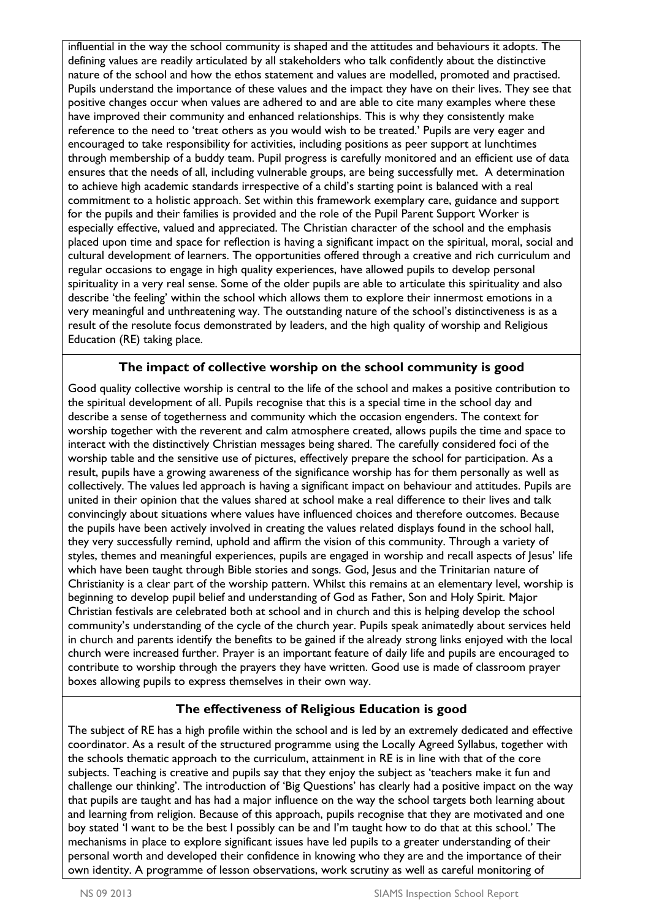influential in the way the school community is shaped and the attitudes and behaviours it adopts. The defining values are readily articulated by all stakeholders who talk confidently about the distinctive nature of the school and how the ethos statement and values are modelled, promoted and practised. Pupils understand the importance of these values and the impact they have on their lives. They see that positive changes occur when values are adhered to and are able to cite many examples where these have improved their community and enhanced relationships. This is why they consistently make reference to the need to 'treat others as you would wish to be treated.' Pupils are very eager and encouraged to take responsibility for activities, including positions as peer support at lunchtimes through membership of a buddy team. Pupil progress is carefully monitored and an efficient use of data ensures that the needs of all, including vulnerable groups, are being successfully met. A determination to achieve high academic standards irrespective of a child's starting point is balanced with a real commitment to a holistic approach. Set within this framework exemplary care, guidance and support for the pupils and their families is provided and the role of the Pupil Parent Support Worker is especially effective, valued and appreciated. The Christian character of the school and the emphasis placed upon time and space for reflection is having a significant impact on the spiritual, moral, social and cultural development of learners. The opportunities offered through a creative and rich curriculum and regular occasions to engage in high quality experiences, have allowed pupils to develop personal spirituality in a very real sense. Some of the older pupils are able to articulate this spirituality and also describe 'the feeling' within the school which allows them to explore their innermost emotions in a very meaningful and unthreatening way. The outstanding nature of the school's distinctiveness is as a result of the resolute focus demonstrated by leaders, and the high quality of worship and Religious Education (RE) taking place.

# **The impact of collective worship on the school community is good**

Good quality collective worship is central to the life of the school and makes a positive contribution to the spiritual development of all. Pupils recognise that this is a special time in the school day and describe a sense of togetherness and community which the occasion engenders. The context for worship together with the reverent and calm atmosphere created, allows pupils the time and space to interact with the distinctively Christian messages being shared. The carefully considered foci of the worship table and the sensitive use of pictures, effectively prepare the school for participation. As a result, pupils have a growing awareness of the significance worship has for them personally as well as collectively. The values led approach is having a significant impact on behaviour and attitudes. Pupils are united in their opinion that the values shared at school make a real difference to their lives and talk convincingly about situations where values have influenced choices and therefore outcomes. Because the pupils have been actively involved in creating the values related displays found in the school hall, they very successfully remind, uphold and affirm the vision of this community. Through a variety of styles, themes and meaningful experiences, pupils are engaged in worship and recall aspects of Jesus' life which have been taught through Bible stories and songs. God, Jesus and the Trinitarian nature of Christianity is a clear part of the worship pattern. Whilst this remains at an elementary level, worship is beginning to develop pupil belief and understanding of God as Father, Son and Holy Spirit. Major Christian festivals are celebrated both at school and in church and this is helping develop the school community's understanding of the cycle of the church year. Pupils speak animatedly about services held in church and parents identify the benefits to be gained if the already strong links enjoyed with the local church were increased further. Prayer is an important feature of daily life and pupils are encouraged to contribute to worship through the prayers they have written. Good use is made of classroom prayer boxes allowing pupils to express themselves in their own way.

# **The effectiveness of Religious Education is good**

The subject of RE has a high profile within the school and is led by an extremely dedicated and effective coordinator. As a result of the structured programme using the Locally Agreed Syllabus, together with the schools thematic approach to the curriculum, attainment in RE is in line with that of the core subjects. Teaching is creative and pupils say that they enjoy the subject as 'teachers make it fun and challenge our thinking'. The introduction of 'Big Questions' has clearly had a positive impact on the way that pupils are taught and has had a major influence on the way the school targets both learning about and learning from religion. Because of this approach, pupils recognise that they are motivated and one boy stated 'I want to be the best I possibly can be and I'm taught how to do that at this school.' The mechanisms in place to explore significant issues have led pupils to a greater understanding of their personal worth and developed their confidence in knowing who they are and the importance of their own identity. A programme of lesson observations, work scrutiny as well as careful monitoring of